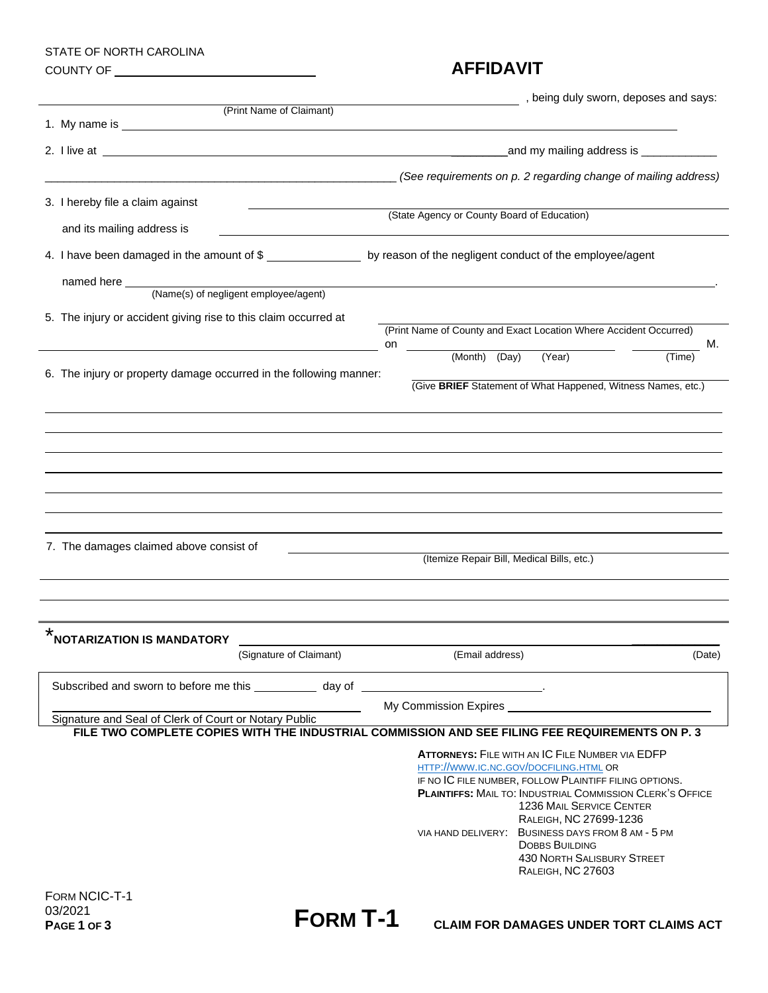# STATE OF NORTH CAROLINA

## COUNTY OF **AFFIDAVIT**

|                                                                                                                                                                                                                                      | , being duly sworn, deposes and says:                                                                                      |
|--------------------------------------------------------------------------------------------------------------------------------------------------------------------------------------------------------------------------------------|----------------------------------------------------------------------------------------------------------------------------|
| (Print Name of Claimant)                                                                                                                                                                                                             |                                                                                                                            |
| 2. I live at <u>example and the set of the set of the set of the set of the set of the set of the set of the set of the set of the set of the set of the set of the set of the set of the set of the set of the set of the set o</u> | and my mailing address is ______________                                                                                   |
|                                                                                                                                                                                                                                      | (See requirements on p. 2 regarding change of mailing address)                                                             |
| 3. I hereby file a claim against                                                                                                                                                                                                     |                                                                                                                            |
| and its mailing address is                                                                                                                                                                                                           | (State Agency or County Board of Education)                                                                                |
| 4. I have been damaged in the amount of \$___________________ by reason of the negligent conduct of the employee/agent                                                                                                               |                                                                                                                            |
| named here<br>(Name(s) of negligent employee/agent)                                                                                                                                                                                  |                                                                                                                            |
|                                                                                                                                                                                                                                      |                                                                                                                            |
| 5. The injury or accident giving rise to this claim occurred at                                                                                                                                                                      | (Print Name of County and Exact Location Where Accident Occurred)<br>М.<br>on                                              |
|                                                                                                                                                                                                                                      | (Month) (Day) (Year)<br>(Time)                                                                                             |
| 6. The injury or property damage occurred in the following manner:                                                                                                                                                                   | (Give BRIEF Statement of What Happened, Witness Names, etc.)                                                               |
|                                                                                                                                                                                                                                      |                                                                                                                            |
|                                                                                                                                                                                                                                      |                                                                                                                            |
|                                                                                                                                                                                                                                      |                                                                                                                            |
|                                                                                                                                                                                                                                      |                                                                                                                            |
|                                                                                                                                                                                                                                      |                                                                                                                            |
| 7. The damages claimed above consist of                                                                                                                                                                                              |                                                                                                                            |
|                                                                                                                                                                                                                                      | (Itemize Repair Bill, Medical Bills, etc.)                                                                                 |
|                                                                                                                                                                                                                                      |                                                                                                                            |
| *                                                                                                                                                                                                                                    |                                                                                                                            |
| <b>NOTARIZATION IS MANDATORY</b><br>(Signature of Claimant)                                                                                                                                                                          | (Email address)<br>(Date)                                                                                                  |
|                                                                                                                                                                                                                                      |                                                                                                                            |
| Subscribed and sworn to before me this _____________ day of ____________                                                                                                                                                             |                                                                                                                            |
| Signature and Seal of Clerk of Court or Notary Public                                                                                                                                                                                | My Commission Expires                                                                                                      |
|                                                                                                                                                                                                                                      | FILE TWO COMPLETE COPIES WITH THE INDUSTRIAL COMMISSION AND SEE FILING FEE REQUIREMENTS ON P. 3                            |
|                                                                                                                                                                                                                                      | <b>ATTORNEYS: FILE WITH AN IC FILE NUMBER VIA EDFP</b><br>HTTP://WWW.IC.NC.GOV/DOCFILING.HTML OR                           |
|                                                                                                                                                                                                                                      | IF NO IC FILE NUMBER, FOLLOW PLAINTIFF FILING OPTIONS.<br><b>PLAINTIFFS: MAIL TO: INDUSTRIAL COMMISSION CLERK'S OFFICE</b> |
|                                                                                                                                                                                                                                      | <b>1236 MAIL SERVICE CENTER</b>                                                                                            |
|                                                                                                                                                                                                                                      | RALEIGH, NC 27699-1236<br>VIA HAND DELIVERY: BUSINESS DAYS FROM 8 AM - 5 PM                                                |
|                                                                                                                                                                                                                                      | <b>DOBBS BUILDING</b>                                                                                                      |
|                                                                                                                                                                                                                                      | <b>430 NORTH SALISBURY STREET</b><br>RALEIGH, NC 27603                                                                     |
| FORM NCIC-T-1                                                                                                                                                                                                                        |                                                                                                                            |
| 03/2021<br><b>FORM T-1</b><br>PAGE 1 OF 3                                                                                                                                                                                            | <b>CLAIM FOR DAMAGES UNDER TORT CLAIMS ACT</b>                                                                             |
|                                                                                                                                                                                                                                      |                                                                                                                            |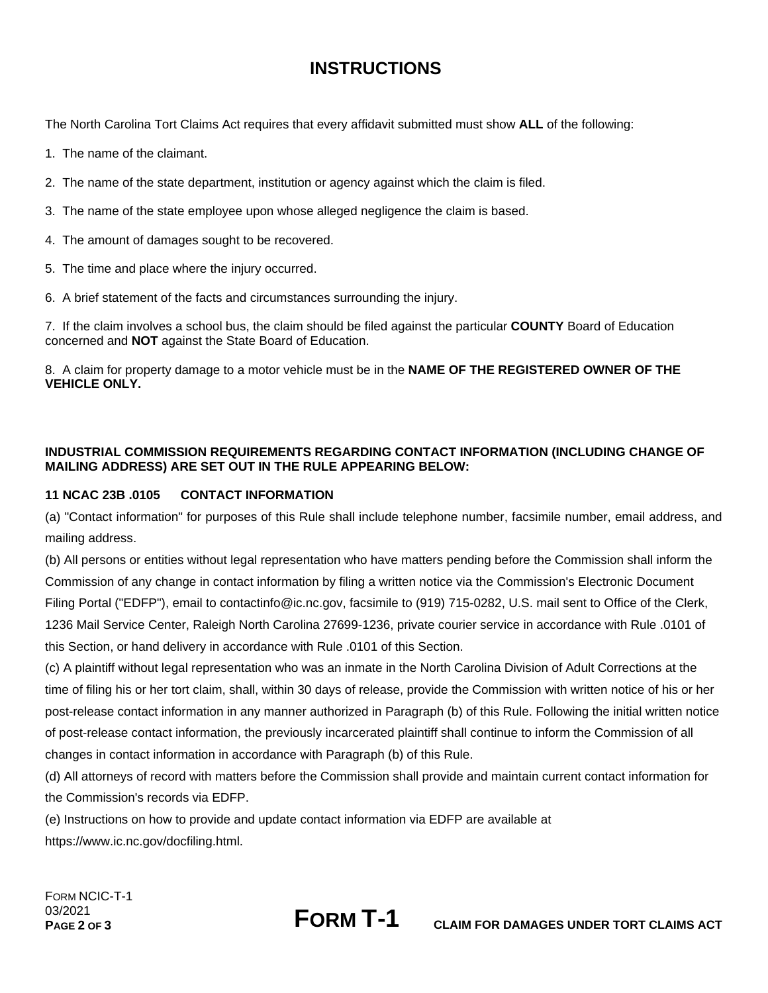## **INSTRUCTIONS**

The North Carolina Tort Claims Act requires that every affidavit submitted must show **ALL** of the following:

- 1. The name of the claimant.
- 2. The name of the state department, institution or agency against which the claim is filed.
- 3. The name of the state employee upon whose alleged negligence the claim is based.
- 4. The amount of damages sought to be recovered.
- 5. The time and place where the injury occurred.
- 6. A brief statement of the facts and circumstances surrounding the injury.

7. If the claim involves a school bus, the claim should be filed against the particular **COUNTY** Board of Education concerned and **NOT** against the State Board of Education.

8. A claim for property damage to a motor vehicle must be in the **NAME OF THE REGISTERED OWNER OF THE VEHICLE ONLY.**

### **INDUSTRIAL COMMISSION REQUIREMENTS REGARDING CONTACT INFORMATION (INCLUDING CHANGE OF MAILING ADDRESS) ARE SET OUT IN THE RULE APPEARING BELOW:**

### **11 NCAC 23B .0105 CONTACT INFORMATION**

(a) "Contact information" for purposes of this Rule shall include telephone number, facsimile number, email address, and mailing address.

(b) All persons or entities without legal representation who have matters pending before the Commission shall inform the Commission of any change in contact information by filing a written notice via the Commission's Electronic Document Filing Portal ("EDFP"), email to contactinfo@ic.nc.gov, facsimile to (919) 715-0282, U.S. mail sent to Office of the Clerk, 1236 Mail Service Center, Raleigh North Carolina 27699-1236, private courier service in accordance with Rule .0101 of this Section, or hand delivery in accordance with Rule .0101 of this Section.

(c) A plaintiff without legal representation who was an inmate in the North Carolina Division of Adult Corrections at the time of filing his or her tort claim, shall, within 30 days of release, provide the Commission with written notice of his or her post-release contact information in any manner authorized in Paragraph (b) of this Rule. Following the initial written notice of post-release contact information, the previously incarcerated plaintiff shall continue to inform the Commission of all changes in contact information in accordance with Paragraph (b) of this Rule.

(d) All attorneys of record with matters before the Commission shall provide and maintain current contact information for the Commission's records via EDFP.

(e) Instructions on how to provide and update contact information via EDFP are available at https://www.ic.nc.gov/docfiling.html.

FORM NCIC-T-1 03/2021